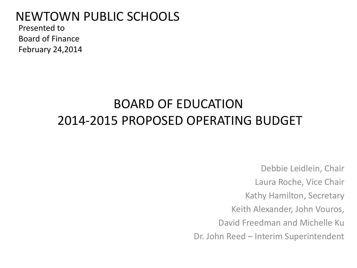### NEWTOWN PUBLIC SCHOOLS

Presented to Board of Finance February 24,2014

### BOARD OF EDUCATION 2014-2015 PROPOSED OPERATING BUDGET

Debbie Leidlein, Chair Laura Roche, Vice Chair Kathy Hamilton, Secretary Keith Alexander, John Vouros, David Freedman and Michelle Ku Dr. John Reed – Interim Superintendent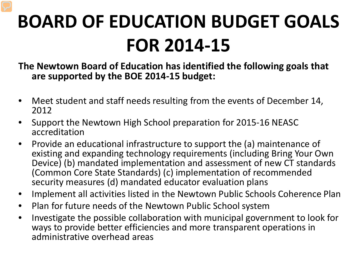## **BOARD OF EDUCATION BUDGET GOALS FOR 2014-15**

**The Newtown Board of Education has identified the following goals that are supported by the BOE 2014-15 budget:** 

- Meet student and staff needs resulting from the events of December 14, 2012
- Support the Newtown High School preparation for 2015-16 NEASC accreditation
- Provide an educational infrastructure to support the (a) maintenance of existing and expanding technology requirements (including Bring Your Own Device) (b) mandated implementation and assessment of new CT standards (Common Core State Standards) (c) implementation of recommended security measures (d) mandated educator evaluation plans
- Implement all activities listed in the Newtown Public Schools Coherence Plan
- Plan for future needs of the Newtown Public School system
- Investigate the possible collaboration with municipal government to look for ways to provide better efficiencies and more transparent operations in administrative overhead areas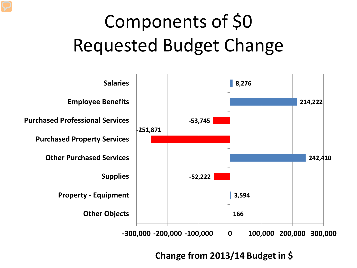# Components of \$0 Requested Budget Change



**Change from 2013/14 Budget in \$**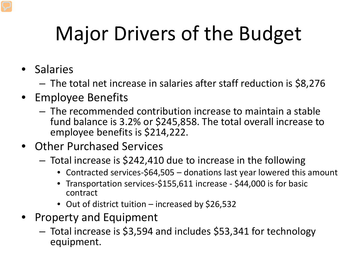# Major Drivers of the Budget

- Salaries
	- The total net increase in salaries after staff reduction is \$8,276
- Employee Benefits
	- The recommended contribution increase to maintain a stable fund balance is 3.2% or \$245,858. The total overall increase to employee benefits is \$214,222.
- Other Purchased Services
	- Total increase is \$242,410 due to increase in the following
		- Contracted services-\$64,505 donations last year lowered this amount
		- Transportation services-\$155,611 increase \$44,000 is for basic contract
		- Out of district tuition increased by \$26,532
- Property and Equipment
	- Total increase is \$3,594 and includes \$53,341 for technology equipment.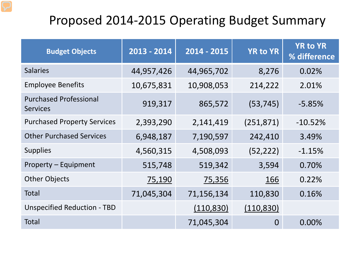### Proposed 2014-2015 Operating Budget Summary

| <b>Budget Objects</b>                            | 2013 - 2014 | 2014 - 2015 | <b>YR to YR</b> | <b>YR to YR</b><br>% difference |
|--------------------------------------------------|-------------|-------------|-----------------|---------------------------------|
| <b>Salaries</b>                                  | 44,957,426  | 44,965,702  | 8,276           | 0.02%                           |
| <b>Employee Benefits</b>                         | 10,675,831  | 10,908,053  | 214,222         | 2.01%                           |
| <b>Purchased Professional</b><br><b>Services</b> | 919,317     | 865,572     | (53, 745)       | $-5.85%$                        |
| <b>Purchased Property Services</b>               | 2,393,290   | 2,141,419   | (251, 871)      | $-10.52%$                       |
| <b>Other Purchased Services</b>                  | 6,948,187   | 7,190,597   | 242,410         | 3.49%                           |
| <b>Supplies</b>                                  | 4,560,315   | 4,508,093   | (52, 222)       | $-1.15%$                        |
| Property - Equipment                             | 515,748     | 519,342     | 3,594           | 0.70%                           |
| <b>Other Objects</b>                             | 75,190      | 75,356      | 166             | 0.22%                           |
| Total                                            | 71,045,304  | 71,156,134  | 110,830         | 0.16%                           |
| <b>Unspecified Reduction - TBD</b>               |             | (110, 830)  | (110, 830)      |                                 |
| <b>Total</b>                                     |             | 71,045,304  | $\Omega$        | 0.00%                           |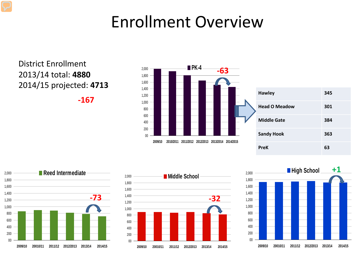### Enrollment Overview

#### District Enrollment 2013/14 total: **4880** 2014/15 projected: **4713**

**-167**







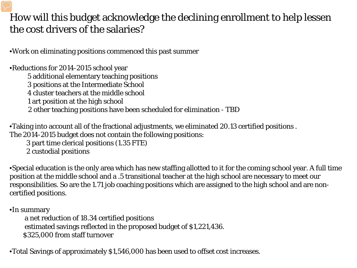#### How will this budget acknowledge the declining enrollment to help lessen the cost drivers of the salaries?

•Work on eliminating positions commenced this past summer

•Reductions for 2014-2015 school year 5 additional elementary teaching positions 3 positions at the Intermediate School 4 cluster teachers at the middle school 1 art position at the high school 2 other teaching positions have been scheduled for elimination - TBD

•Taking into account all of the fractional adjustments, we eliminated 20.13 certified positions . The 2014-2015 budget does not contain the following positions:

3 part time clerical positions (1.35 FTE)

2 custodial positions

•Special education is the only area which has new staffing allotted to it for the coming school year. A full time position at the middle school and a .5 transitional teacher at the high school are necessary to meet our responsibilities. So are the 1.71 job coaching positions which are assigned to the high school and are noncertified positions.

•In summary

 a net reduction of 18.34 certified positions estimated savings reflected in the proposed budget of \$1,221,436. \$325,000 from staff turnover

•Total Savings of approximately \$1,546,000 has been used to offset cost increases.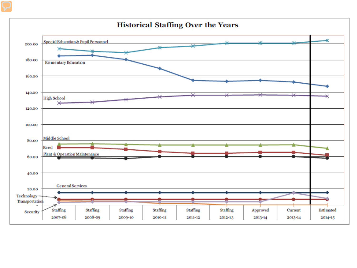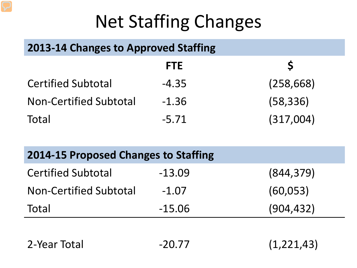## Net Staffing Changes

### **2013-14 Changes to Approved Staffing**

|                               | <b>FTE</b> |            |
|-------------------------------|------------|------------|
| <b>Certified Subtotal</b>     | $-4.35$    | (258, 668) |
| <b>Non-Certified Subtotal</b> | $-1.36$    | (58, 336)  |
| Total                         | $-5.71$    | (317,004)  |

| <b>2014-15 Proposed Changes to Staffing</b> |          |            |  |
|---------------------------------------------|----------|------------|--|
| <b>Certified Subtotal</b>                   | $-13.09$ | (844, 379) |  |
| <b>Non-Certified Subtotal</b>               | $-1.07$  | (60, 053)  |  |
| Total                                       | $-15.06$ | (904, 432) |  |

| 2-Year Total | $-20.77$ | (1, 221, 43) |
|--------------|----------|--------------|
|--------------|----------|--------------|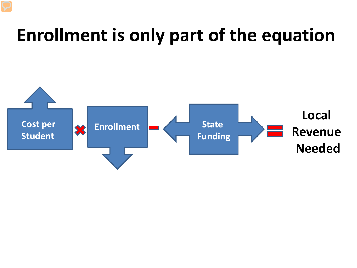## **Enrollment is only part of the equation**

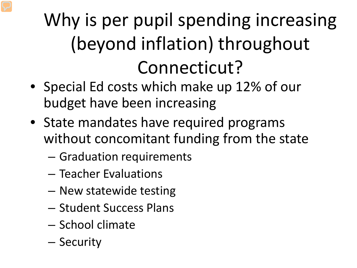## Why is per pupil spending increasing (beyond inflation) throughout Connecticut?

- Special Ed costs which make up 12% of our budget have been increasing
- State mandates have required programs without concomitant funding from the state
	- Graduation requirements
	- Teacher Evaluations
	- New statewide testing
	- Student Success Plans
	- School climate
	- Security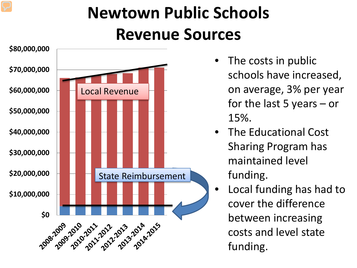### **Newtown Public Schools Revenue Sources**



- The costs in public schools have increased, on average, 3% per year for the last 5 years – or 15%.
- The Educational Cost Sharing Program has maintained level funding.
- Local funding has had to cover the difference between increasing costs and level state funding.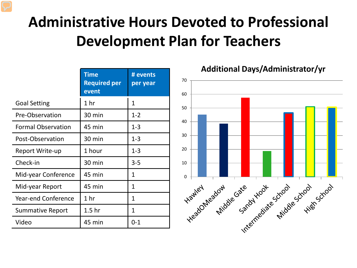### **Administrative Hours Devoted to Professional Development Plan for Teachers**

|                            | Time<br><b>Required per</b><br>event | # events<br>per year |
|----------------------------|--------------------------------------|----------------------|
| <b>Goal Setting</b>        | 1 hr                                 | 1                    |
| Pre-Observation            | 30 min                               | $1 - 2$              |
| <b>Formal Observation</b>  | 45 min                               | $1 - 3$              |
| Post-Observation           | 30 min                               | $1 - 3$              |
| Report Write-up            | 1 hour                               | $1 - 3$              |
| Check-in                   | 30 min                               | $3 - 5$              |
| Mid-year Conference        | 45 min                               | 1                    |
| Mid-year Report            | 45 min                               | 1                    |
| <b>Year-end Conference</b> | 1 <sub>hr</sub>                      | 1                    |
| Summative Report           | 1.5 <sub>hr</sub>                    | 1                    |
| Video                      | 45 min                               | $0 - 1$              |

**Additional Days/Administrator/yr**

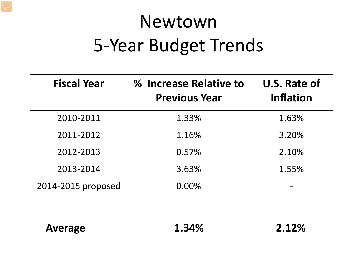## Newtown 5-Year Budget Trends

| <b>Fiscal Year</b> | % Increase Relative to<br><b>Previous Year</b> | U.S. Rate of<br><b>Inflation</b> |
|--------------------|------------------------------------------------|----------------------------------|
| 2010-2011          | 1.33%                                          | 1.63%                            |
| 2011-2012          | 1.16%                                          | 3.20%                            |
| 2012-2013          | 0.57%                                          | 2.10%                            |
| 2013-2014          | 3.63%                                          | 1.55%                            |
| 2014-2015 proposed | 0.00%                                          |                                  |